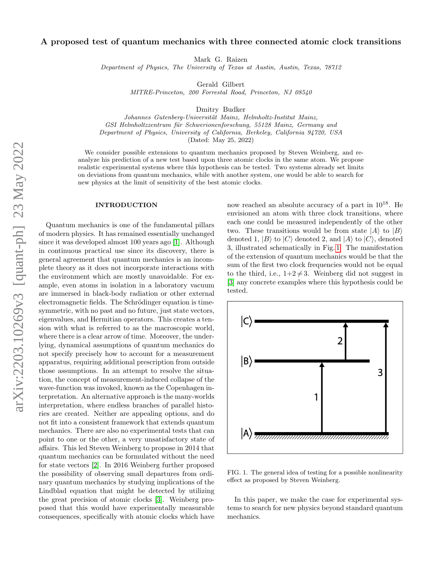# A proposed test of quantum mechanics with three connected atomic clock transitions

Mark G. Raizen

Department of Physics, The University of Texas at Austin, Austin, Texas, 78712

Gerald Gilbert

MITRE-Princeton, 200 Forrestal Road, Princeton, NJ 08540

Dmitry Budker

Johannes Gutenberg-Universität Mainz, Helmholtz-Institut Mainz, GSI Helmholtzzentrum für Schwerionenforschung, 55128 Mainz, Germany and Department of Physics, University of California, Berkeley, California 94720, USA

(Dated: May 25, 2022)

We consider possible extensions to quantum mechanics proposed by Steven Weinberg, and reanalyze his prediction of a new test based upon three atomic clocks in the same atom. We propose realistic experimental systems where this hypothesis can be tested. Two systems already set limits on deviations from quantum mechanics, while with another system, one would be able to search for new physics at the limit of sensitivity of the best atomic clocks.

#### INTRODUCTION

Quantum mechanics is one of the fundamental pillars of modern physics. It has remained essentially unchanged since it was developed almost 100 years ago [\[1\]](#page-3-0). Although in continuous practical use since its discovery, there is general agreement that quantum mechanics is an incomplete theory as it does not incorporate interactions with the environment which are mostly unavoidable. For example, even atoms in isolation in a laboratory vacuum are immersed in black-body radiation or other external electromagnetic fields. The Schrödinger equation is timesymmetric, with no past and no future, just state vectors, eigenvalues, and Hermitian operators. This creates a tension with what is referred to as the macroscopic world, where there is a clear arrow of time. Moreover, the underlying, dynamical assumptions of quantum mechanics do not specify precisely how to account for a measurement apparatus, requiring additional prescription from outside those assumptions. In an attempt to resolve the situation, the concept of measurement-induced collapse of the wave-function was invoked, known as the Copenhagen interpretation. An alternative approach is the many-worlds interpretation, where endless branches of parallel histories are created. Neither are appealing options, and do not fit into a consistent framework that extends quantum mechanics. There are also no experimental tests that can point to one or the other, a very unsatisfactory state of affairs. This led Steven Weinberg to propose in 2014 that quantum mechanics can be formulated without the need for state vectors [\[2\]](#page-3-1). In 2016 Weinberg further proposed the possibility of observing small departures from ordinary quantum mechanics by studying implications of the Lindblad equation that might be detected by utilizing the great precision of atomic clocks [\[3\]](#page-3-2). Weinberg proposed that this would have experimentally measurable consequences, specifically with atomic clocks which have

now reached an absolute accuracy of a part in 1018. He envisioned an atom with three clock transitions, where each one could be measured independently of the other two. These transitions would be from state  $|A\rangle$  to  $|B\rangle$ denoted 1,  $|B\rangle$  to  $|C\rangle$  denoted 2, and  $|A\rangle$  to  $|C\rangle$ , denoted 3, illustrated schematically in Fig. [1.](#page-0-0) The manifestation of the extension of quantum mechanics would be that the sum of the first two clock frequencies would not be equal to the third, i.e.,  $1+2 \neq 3$ . Weinberg did not suggest in [\[3\]](#page-3-2) any concrete examples where this hypothesis could be tested.



<span id="page-0-0"></span>FIG. 1. The general idea of testing for a possible nonlinearity effect as proposed by Steven Weinberg.

In this paper, we make the case for experimental systems to search for new physics beyond standard quantum mechanics.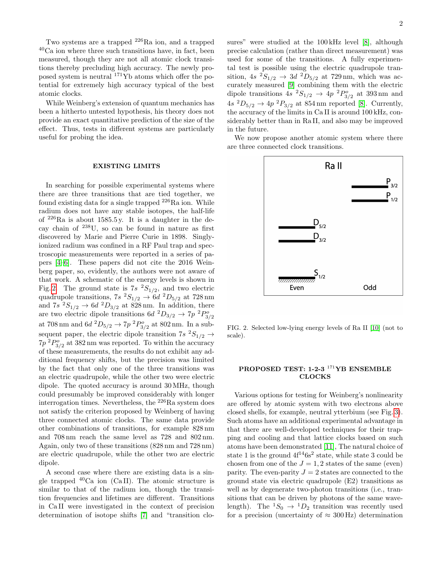Two systems are a trapped <sup>226</sup>Ra ion, and a trapped <sup>40</sup>Ca ion where three such transitions have, in fact, been measured, though they are not all atomic clock transitions thereby precluding high accuracy. The newly proposed system is neutral  $^{171}\text{Yb}$  atoms which offer the potential for extremely high accuracy typical of the best atomic clocks.

While Weinberg's extension of quantum mechanics has been a hitherto untested hypothesis, his theory does not provide an exact quantitative prediction of the size of the effect. Thus, tests in different systems are particularly useful for probing the idea.

## EXISTING LIMITS

In searching for possible experimental systems where there are three transitions that are tied together, we found existing data for a single trapped  $^{226}$ Ra ion. While radium does not have any stable isotopes, the half-life of  $226$ Ra is about 1585.5 y. It is a daughter in the decay chain of <sup>238</sup>U, so can be found in nature as first discovered by Marie and Pierre Curie in 1898. Singlyionized radium was confined in a RF Paul trap and spectroscopic measurements were reported in a series of papers [\[4–](#page-3-3)[6\]](#page-3-4). These papers did not cite the 2016 Weinberg paper, so, evidently, the authors were not aware of that work. A schematic of the energy levels is shown in Fig. [2.](#page-1-0) The ground state is  $7s$   $^2S_{1/2}$ , and two electric quadrupole transitions,  $7s\ ^2S_{1/2} \rightarrow 6d\ ^2D_{5/2}$  at  $728\,\mathrm{nm}$ and  $7s^2S_{1/2} \rightarrow 6d^2D_{3/2}$  at 828 nm. In addition, there are two electric dipole transitions  $6d^{2}D_{3/2} \rightarrow 7p^{2}P_{3/2}^{o}$ at 708 nm and  $6d^{2}D_{5/2} \rightarrow 7p^{2}P_{3/2}^{o}$  at 802 nm. In a subsequent paper, the electric dipole transition  $7s \frac{2S_{1/2}}{S} \rightarrow$  $7p^{2}P_{3/2}^{o}$  at 382 nm was reported. To within the accuracy of these measurements, the results do not exhibit any additional frequency shifts, but the precision was limited by the fact that only one of the three transitions was an electric quadrupole, while the other two were electric dipole. The quoted accuracy is around 30 MHz, though could presumably be improved considerably with longer interrogation times. Nevertheless, the <sup>226</sup>Ra system does not satisfy the criterion proposed by Weinberg of having three connected atomic clocks. The same data provide other combinations of transitions, for example 828 nm and 708 nm reach the same level as 728 and 802 nm. Again, only two of these transitions (828 nm and 728 nm) are electric quadrupole, while the other two are electric dipole.

A second case where there are existing data is a single trapped  $^{40}$ Ca ion (CaII). The atomic structure is similar to that of the radium ion, though the transition frequencies and lifetimes are different. Transitions in Ca II were investigated in the context of precision determination of isotope shifts [\[7\]](#page-3-5) and "transition closures" were studied at the  $100 \text{ kHz}$  level [\[8\]](#page-3-6), although precise calculation (rather than direct measurement) was used for some of the transitions. A fully experimental test is possible using the electric quadrupole transition,  $4s^2S_{1/2} \rightarrow 3d^2D_{5/2}$  at 729 nm, which was accurately measured [\[9\]](#page-3-7) combining them with the electric dipole transitions  $4s \frac{2S_{1/2}}{S_1} \rightarrow 4p \frac{2P_{3/2}^o}{S_2}$  at 393 nm and  $4s \ ^2D_{5/2} \rightarrow 4p \ ^2P_{3/2}$  at 854 nm reported [\[8\]](#page-3-6). Currently, the accuracy of the limits in Ca II is around 100 kHz, considerably better than in Ra II, and also may be improved in the future.

We now propose another atomic system where there are three connected clock transitions.



<span id="page-1-0"></span>FIG. 2. Selected low-lying energy levels of Ra II [\[10\]](#page-3-8) (not to scale).

## PROPOSED TEST: 1-2-3<sup>171</sup>YB ENSEMBLE CLOCKS

Various options for testing for Weinberg's nonlinearity are offered by atomic system with two electrons above closed shells, for example, neutral ytterbium (see Fig. [3\)](#page-2-0). Such atoms have an additional experimental advantage in that there are well-developed techniques for their trapping and cooling and that lattice clocks based on such atoms have been demonstrated [\[11\]](#page-3-9), The natural choice of state 1 is the ground  $4f^{14}6s^2$  state, while state 3 could be chosen from one of the  $J = 1, 2$  states of the same (even) parity. The even-parity  $J = 2$  states are connected to the ground state via electric quadrupole (E2) transitions as well as by degenerate two-photon transitions (i.e., transitions that can be driven by photons of the same wavelength). The  ${}^{1}S_0 \rightarrow {}^{1}D_2$  transition was recently used for a precision (uncertainty of  $\approx 300 \text{ Hz}$ ) determination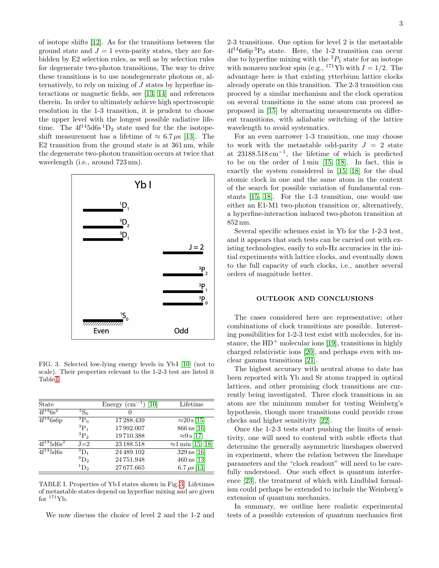of isotope shifts [\[12\]](#page-3-10). As for the transitions between the ground state and  $J = 1$  even-parity states, they are forbidden by E2 selection rules, as well as by selection rules for degenerate two-photon transitions, The way to drive these transitions is to use nondegenerate photons or, alternatively, to rely on mixing of J states by hyperfine interactions or magnetic fields, see [\[13,](#page-3-11) [14\]](#page-3-12) and references therein. In order to ultimately achieve high spectroscopic resolution in the 1-3 transition, it is prudent to choose the upper level with the longest possible radiative lifetime. The  $4f^{14}5d6s$ <sup>1</sup>D<sub>2</sub> state used for the the isotopeshift measurement has a lifetime of  $\approx 6.7 \,\mu s$  [\[13\]](#page-3-11). The E2 transition from the ground state is at 361 nm, while the degenerate two-photon transition occurs at twice that wavelength (i.e., around 723 nm).



<span id="page-2-0"></span>FIG. 3. Selected low-lying energy levels in Yb I [\[10\]](#page-3-8) (not to scale). Their properties relevant to the 1-2-3 test are listed it Table [I](#page-2-1)

| State                      |                    | Energy $\rm (cm^{-}$<br>[10] | Lifetime                    |
|----------------------------|--------------------|------------------------------|-----------------------------|
| $4f^{14}6s^2$              | ${}^{1}S_{0}^{-}$  | $\theta$                     |                             |
| $4f^{14}6s6p$              | ${}^3P_0$          | 17288.439                    | $\approx 20 \text{ s}$ [15] |
|                            | ${}^{3}P_{1}$      | 17992.007                    | $866 \text{ ns} [16]$       |
|                            | ${}^3P_2$          | 19710.388                    | $\approx 9 \text{ s}$ [17]  |
| $\overline{4f}^{13}5d6s^2$ | $J=2$              | 23 188.518                   | $\approx$ 1 min [15, 18]    |
| $4f^{14}5d6s$              | $\rm ^3D_1$        | 24 489.102                   | $329 \,\mathrm{ns}$ [16]    |
|                            | ${}^3\mathrm{D}_2$ | 24751.948                    | $460 \,\mathrm{ns}$ [13]    |
|                            | ${}^1\mathrm{D}_2$ | 27677.665                    | 6.7 $\mu$ s [13]            |
|                            |                    |                              |                             |

<span id="page-2-1"></span>TABLE I. Properties of Yb I states shown in Fig. [3.](#page-2-0) Lifetimes of metastable states depend on hyperfine mixing and are given for  $171Yb$ .

We now discuss the choice of level 2 and the 1-2 and

2-3 transitions. One option for level 2 is the metastable  $4f^{14}6s6p~^{3}P_{0}$  state. Here, the 1-2 transition can occur due to hyperfine mixing with the  ${}^{3}P_{1}$  state for an isotope with nonzero nuclear spin (e.g., <sup>171</sup>Yb with  $I = 1/2$ . The advantage here is that existing ytterbium lattice clocks already operate on this transition. The 2-3 transition can proceed by a similar mechanism and the clock operation on several transitions in the same atom can proceed as proposed in [\[15\]](#page-3-13) by alternating measurements on different transitions, with adiabatic switching of the lattice wavelength to avoid systematics.

For an even narrower 1-3 transition, one may choose to work with the metastable odd-parity  $J = 2$  state at 23188.518 cm−<sup>1</sup> , the lifetime of which is predicted to be on the order of 1 min [\[15,](#page-3-13) [18\]](#page-3-16). In fact, this is exactly the system considered in [\[15,](#page-3-13) [18\]](#page-3-16) for the dual atomic clock in one and the same atom in the context of the search for possible variation of fundamental constants [\[15,](#page-3-13) [18\]](#page-3-16). For the 1-3 transition, one would use either an E1-M1 two-photon transition or, alternatively, a hyperfine-interaction induced two-photon transition at 852 nm.

Several specific schemes exist in Yb for the 1-2-3 test, and it appears that such tests can be carried out with existing technologies, easily to sub-Hz accuracies in the initial experiments with lattice clocks, and eventually down to the full capacity of such clocks, i.e., another several orders of magnitude better.

#### OUTLOOK AND CONCLUSIONS

The cases considered here are representative; other combinations of clock transitions are possible. Interesting possibilities for 1-2-3 test exist with molecules, for instance, the  $HD^+$  molecular ions [\[19\]](#page-3-17), transitions in highly charged relativistic ions [\[20\]](#page-3-18), and perhaps even with nuclear gamma transitions [\[21\]](#page-3-19).

The highest accuracy with neutral atoms to date has been reported with Yb and Sr atoms trapped in optical lattices, and other promising clock transitions are currently being investigated. Three clock transitions in an atom are the minimum number for testing Weinberg's hypothesis, though more transitions could provide cross checks and higher sensitivity [\[22\]](#page-3-20).

Once the 1-2-3 tests start pushing the limits of sensitivity, one will need to contend with subtle effects that determine the generally asymmetric lineshapes observed in experiment, where the relation between the lineshape parameters and the "clock readout" will need to be carefully understood. One such effect is quantum interference [\[23\]](#page-3-21), the treatment of which with Lindblad formalism could perhaps be extended to include the Weinberg's extension of quantum mechanics.

In summary, we outline here realistic experimental tests of a possible extension of quantum mechanics first